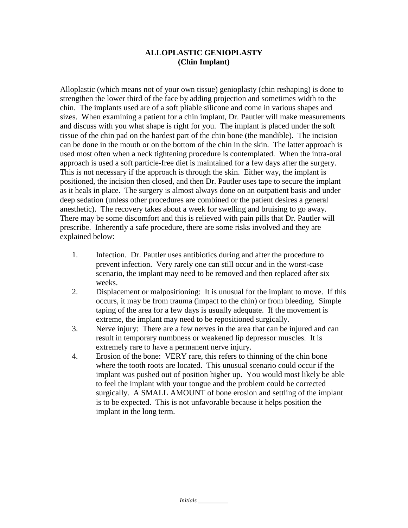## **ALLOPLASTIC GENIOPLASTY (Chin Implant)**

Alloplastic (which means not of your own tissue) genioplasty (chin reshaping) is done to strengthen the lower third of the face by adding projection and sometimes width to the chin. The implants used are of a soft pliable silicone and come in various shapes and sizes. When examining a patient for a chin implant, Dr. Pautler will make measurements and discuss with you what shape is right for you. The implant is placed under the soft tissue of the chin pad on the hardest part of the chin bone (the mandible). The incision can be done in the mouth or on the bottom of the chin in the skin. The latter approach is used most often when a neck tightening procedure is contemplated. When the intra-oral approach is used a soft particle-free diet is maintained for a few days after the surgery. This is not necessary if the approach is through the skin. Either way, the implant is positioned, the incision then closed, and then Dr. Pautler uses tape to secure the implant as it heals in place. The surgery is almost always done on an outpatient basis and under deep sedation (unless other procedures are combined or the patient desires a general anesthetic). The recovery takes about a week for swelling and bruising to go away. There may be some discomfort and this is relieved with pain pills that Dr. Pautler will prescribe. Inherently a safe procedure, there are some risks involved and they are explained below:

- 1. Infection. Dr. Pautler uses antibiotics during and after the procedure to prevent infection. Very rarely one can still occur and in the worst-case scenario, the implant may need to be removed and then replaced after six weeks.
- 2. Displacement or malpositioning: It is unusual for the implant to move. If this occurs, it may be from trauma (impact to the chin) or from bleeding. Simple taping of the area for a few days is usually adequate. If the movement is extreme, the implant may need to be repositioned surgically.
- 3. Nerve injury: There are a few nerves in the area that can be injured and can result in temporary numbness or weakened lip depressor muscles. It is extremely rare to have a permanent nerve injury.
- 4. Erosion of the bone: VERY rare, this refers to thinning of the chin bone where the tooth roots are located. This unusual scenario could occur if the implant was pushed out of position higher up. You would most likely be able to feel the implant with your tongue and the problem could be corrected surgically. A SMALL AMOUNT of bone erosion and settling of the implant is to be expected. This is not unfavorable because it helps position the implant in the long term.